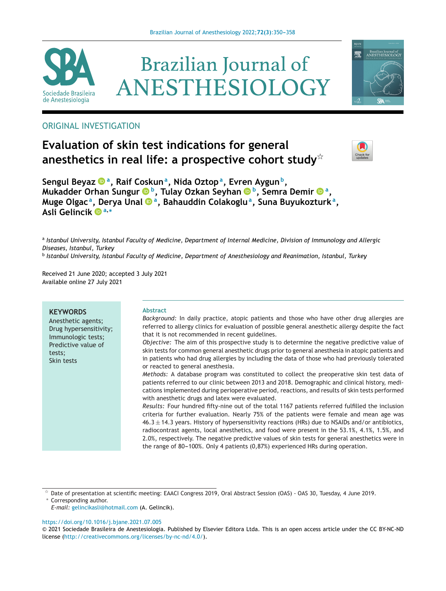





## ORIGINAL INVESTIGATION

# **Evaluation of skin test indications for general anesthetics in real life: a prospective cohort study**-



**Sengul Beyaz a, Raif Coskuna, Nida Oztopa, Evren Aygunb, Mukadder Orhan Sungur b, Tulay Ozkan Seyhan b, Semra Demir a, Muge Olgac a, Derya Unal a, Bahauddin Colakoglua, Suna Buyukozturka, Asli Gelinci[k](https://orcid.org/0000-0002-3524-9952) <sup>a</sup>,<sup>∗</sup>**

a Istanbul University, Istanbul Faculty of Medicine, Department of Internal Medicine, Division of Immunology and Allergic *Diseases, Istanbul, Turkey* <sup>b</sup> *Istanbul University, Istanbul Faculty of Medicine, Department of Anesthesiology and Reanimation, Istanbul, Turkey*

Received 21 June 2020; accepted 3 July 2021 Available online 27 July 2021

#### **KEYWORDS**

Anesthetic agents; Drug hypersensitivity; Immunologic tests; Predictive value of tests; Skin tests

#### **Abstract**

*Background:* In daily practice, atopic patients and those who have other drug allergies are referred to allergy clinics for evaluation of possible general anesthetic allergy despite the fact that it is not recommended in recent guidelines.

*Objective:* The aim of this prospective study is to determine the negative predictive value of skin tests for common general anesthetic drugs prior to general anesthesia in atopic patients and in patients who had drug allergies by including the data of those who had previously tolerated or reacted to general anesthesia.

*Methods:* A database program was constituted to collect the preoperative skin test data of patients referred to our clinic between 2013 and 2018. Demographic and clinical history, medications implemented during perioperative period, reactions, and results of skin tests performed with anesthetic drugs and latex were evaluated.

*Results:* Four hundred fifty-nine out of the total 1167 patients referred fulfilled the inclusion criteria for further evaluation. Nearly 75% of the patients were female and mean age was  $46.3 \pm 14.3$  years. History of hypersensitivity reactions (HRs) due to NSAIDs and/or antibiotics, radiocontrast agents, local anesthetics, and food were present in the 53.1%, 4.1%, 1.5%, and 2.0%, respectively. The negative predictive values of skin tests for general anesthetics were in the range of 80-100%. Only 4 patients  $(0.87%)$  experienced HRs during operation.

*E-mail:* [gelincikasli@hotmail.com](mailto:gelincikasli@hotmail.com) (A. Gelincik).

<https://doi.org/10.1016/j.bjane.2021.07.005>

 $^\star$  Date of presentation at scientific meeting: EAACI Congress 2019, Oral Abstract Session (OAS) - OAS 30, Tuesday, 4 June 2019. ∗ Corresponding author.

<sup>©</sup> 2021 Sociedade Brasileira de Anestesiologia. Published by Elsevier Editora Ltda. This is an open access article under the CC BY-NC-ND license (<http://creativecommons.org/licenses/by-nc-nd/4.0/>).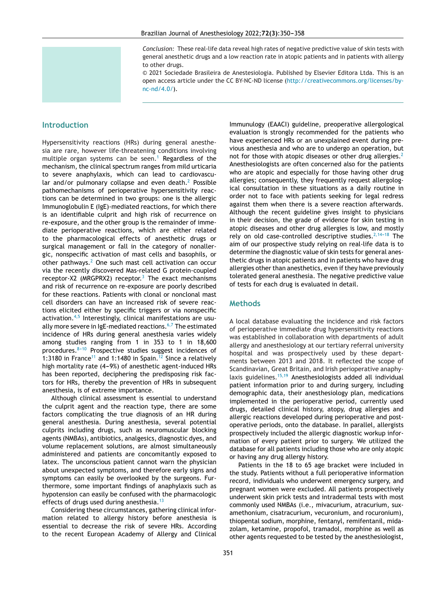*Conclusion:* These real-life data reveal high rates of negative predictive value of skin tests with general anesthetic drugs and a low reaction rate in atopic patients and in patients with allergy to other drugs.

© 2021 Sociedade Brasileira de Anestesiologia. Published by Elsevier Editora Ltda. This is an open access article under the CC BY-NC-ND license [\(http://creativecommons.org/licenses/by](http://creativecommons.org/licenses/by-nc-nd/4.0/)[nc-nd/4.0/](http://creativecommons.org/licenses/by-nc-nd/4.0/)).

## **Introduction**

Hypersensitivity reactions (HRs) during general anesthesia are rare, however life-threatening conditions involving multiple organ systems can be seen.<sup>[1](#page-7-0)</sup> Regardless of the mechanism, the clinical spectrum ranges from mild urticaria to severe anaphylaxis, which can lead to cardiovascular and/or pulmonary collapse and even death. $2$  Possible pathomechanisms of perioperative hypersensitivity reactions can be determined in two groups: one is the allergic Immunoglobulin E (IgE)-mediated reactions, for which there is an identifiable culprit and high risk of recurrence on re-exposure, and the other group is the remainder of immediate perioperative reactions, which are either related to the pharmacological effects of anesthetic drugs or surgical management or fall in the category of nonallergic, nonspecific activation of mast cells and basophils, or other pathways. $2$  One such mast cell activation can occur via the recently discovered Mas-related G protein-coupled receptor-X2 (MRGPRX2) receptor. $3$  The exact mechanisms and risk of recurrence on re-exposure are poorly described for these reactions. Patients with clonal or nonclonal mast cell disorders can have an increased risk of severe reactions elicited either by specific triggers or via nonspecific activation. $4,5$  Interestingly, clinical manifestations are usu-ally more severe in IgE-mediated reactions.<sup>[6,7](#page-8-0)</sup> The estimated incidence of HRs during general anesthesia varies widely among studies ranging from 1 in 353 to 1 in 18,600 procedures. $8-10$  Prospective studies suggest incidences of 1:3180 in France<sup>[11](#page-8-0)</sup> and 1:1480 in Spain.<sup>[12](#page-8-0)</sup> Since a relatively high mortality rate  $(4-9%)$  of anesthetic agent-induced HRs has been reported, deciphering the predisposing risk factors for HRs, thereby the prevention of HRs in subsequent anesthesia, is of extreme importance.

Although clinical assessment is essential to understand the culprit agent and the reaction type, there are some factors complicating the true diagnosis of an HR during general anesthesia. During anesthesia, several potential culprits including drugs, such as neuromuscular blocking agents (NMBAs), antibiotics, analgesics, diagnostic dyes, and volume replacement solutions, are almost simultaneously administered and patients are concomitantly exposed to latex. The unconscious patient cannot warn the physician about unexpected symptoms, and therefore early signs and symptoms can easily be overlooked by the surgeons. Furthermore, some important findings of anaphylaxis such as hypotension can easily be confused with the pharmacologic effects of drugs used during anesthesia. $13$ 

Considering these circumstances, gathering clinical information related to allergy history before anesthesia is essential to decrease the risk of severe HRs. According to the recent European Academy of Allergy and Clinical Immunulogy (EAACI) guideline, preoperative allergological evaluation is strongly recommended for the patients who have experienced HRs or an unexplained event during previous anesthesia and who are to undergo an operation, but not for those with atopic diseases or other drug allergies.<sup>[2](#page-7-0)</sup> Anesthesiologists are often concerned also for the patients who are atopic and especially for those having other drug allergies; consequently, they frequently request allergological consultation in these situations as a daily routine in order not to face with patients seeking for legal redress against them when there is a severe reaction afterwards. Although the recent guideline gives insight to physicians in their decision, the grade of evidence for skin testing in atopic diseases and other drug allergies is low, and mostly rely on old case-controlled descriptive studies. $2,14-18$  The aim of our prospective study relying on real-life data is to determine the diagnostic value of skin tests for general anesthetic drugs in atopic patients and in patients who have drug allergies other than anesthetics, even if they have previously tolerated general anesthesia. The negative predictive value of tests for each drug is evaluated in detail.

### **Methods**

A local database evaluating the incidence and risk factors of perioperative immediate drug hypersensitivity reactions was established in collaboration with departments of adult allergy and anesthesiology at our tertiary referral university hospital and was prospectively used by these departments between 2013 and 2018. It reflected the scope of Scandinavian, Great Britain, and Irish perioperative anaphy-laxis guidelines.<sup>[15,19](#page-8-0)</sup> Anesthesiologists added all individual patient information prior to and during surgery, including demographic data, their anesthesiology plan, medications implemented in the perioperative period, currently used drugs, detailed clinical history, atopy, drug allergies and allergic reactions developed during perioperative and postoperative periods, onto the database. In parallel, allergists prospectively included the allergic diagnostic workup information of every patient prior to surgery. We utilized the database for all patients including those who are only atopic or having any drug allergy history.

Patients in the 18 to 65 age bracket were included in the study. Patients without a full perioperative information record, individuals who underwent emergency surgery, and pregnant women were excluded. All patients prospectively underwent skin prick tests and intradermal tests with most commonly used NMBAs (i.e., mivacurium, atracurium, suxamethonium, cisatracurium, vecuronium, and rocuronium), thiopental sodium, morphine, fentanyl, remifentanil, midazolam, ketamine, propofol, tramadol, morphine as well as other agents requested to be tested by the anesthesiologist,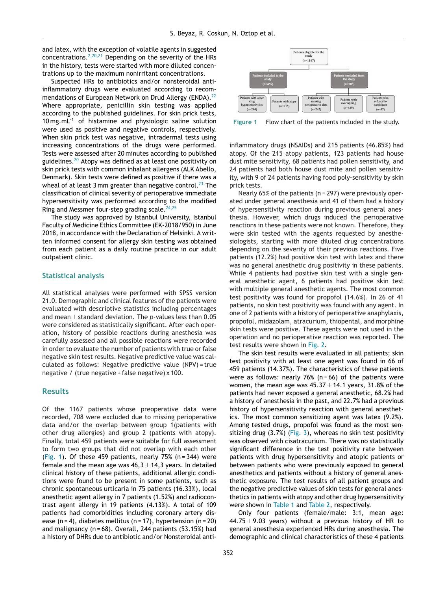and latex, with the exception of volatile agents in suggested concentrations.<sup>[2,20,21](#page-7-0)</sup> Depending on the severity of the HRs in the history, tests were started with more diluted concentrations up to the maximum nonirritant concentrations.

Suspected HRs to antibiotics and/or nonsteroidal antiinflammatory drugs were evaluated according to recom-mendations of European Network on Drud Allergy (ENDA).<sup>[22](#page-8-0)</sup> Where appropriate, penicillin skin testing was applied according to the published guidelines. For skin prick tests, 10 mg.mL-1 of histamine and physiologic saline solution were used as positive and negative controls, respectively. When skin prick test was negative, intradermal tests using increasing concentrations of the drugs were performed. Tests were assessed after 20 minutes according to published guidelines.<sup>[20](#page-8-0)</sup> Atopy was defined as at least one positivity on skin prick tests with common inhalant allergens (ALK Abello, Denmark). Skin tests were defined as positive if there was a wheal of at least 3 mm greater than negative control.<sup>[23](#page-8-0)</sup> The classification of clinical severity of perioperative immediate hypersensitivity was performed according to the modified Ring and Messmer four-step grading scale.<sup>[24,25](#page-8-0)</sup>

The study was approved by Istanbul University, Istanbul Faculty of Medicine Ethics Committee (EK-2018/950) in June 2018, in accordance with the Declaration of Helsinki. A written informed consent for allergy skin testing was obtained from each patient as a daily routine practice in our adult outpatient clinic.

#### **Statistical analysis**

All statistical analyses were performed with SPSS version 21.0. Demographic and clinical features of the patients were evaluated with descriptive statistics including percentages and mean ± standard deviation. The *p-*values less than 0.05 were considered as statistically significant. After each operation, history of possible reactions during anesthesia was carefully assessed and all possible reactions were recorded in order to evaluate the number of patients with true or false negative skin test results. Negative predictive value was calculated as follows: Negative predictive value (NPV) = true negative / (true negative + false negative) x 100.

#### **Results**

Of the 1167 patients whose preoperative data were recorded, 708 were excluded due to missing perioperative data and/or the overlap between group 1(patients with other drug allergies) and group 2 (patients with atopy). Finally, total 459 patients were suitable for full assessment to form two groups that did not overlap with each other (Fig. 1). Of these 459 patients, nearly  $75%$  (n = 344) were female and the mean age was  $46,3 \pm 14,3$  years. In detailed clinical history of these patients, additional allergic conditions were found to be present in some patients, such as chronic spontaneous urticaria in 75 patients (16.33%), local anesthetic agent allergy in 7 patients (1.52%) and radiocontrast agent allergy in 19 patients (4.13%). A total of 109 patients had comorbidities including coronary artery disease  $(n = 4)$ , diabetes mellitus  $(n = 17)$ , hypertension  $(n = 20)$ and malignancy (n = 68). Overall, 244 patients (53.15%) had a history of DHRs due to antibiotic and/or Nonsteroidal anti-



**Figure 1** Flow chart of the patients included in the study.

inflammatory drugs (NSAIDs) and 215 patients (46.85%) had atopy. Of the 215 atopy patients, 123 patients had house dust mite sensitivity, 68 patients had pollen sensitivity, and 24 patients had both house dust mite and pollen sensitivity, with 9 of 24 patients having food poly-sensitivity by skin prick tests.

Nearly 65% of the patients (n = 297) were previously operated under general anesthesia and 41 of them had a history of hypersensitivity reaction during previous general anesthesia. However, which drugs induced the perioperative reactions in these patients were not known. Therefore, they were skin tested with the agents requested by anesthesiologists, starting with more diluted drug concentrations depending on the severity of their previous reactions. Five patients (12.2%) had positive skin test with latex and there was no general anesthetic drug positivity in these patients. While 4 patients had positive skin test with a single general anesthetic agent, 6 patients had positive skin test with multiple general anesthetic agents. The most common test positivity was found for propofol (14.6%). In 26 of 41 patients, no skin test positivity was found with any agent. In one of 2 patients with a history of perioperative anaphylaxis, propofol, midazolam, atracurium, thiopental, and morphine skin tests were positive. These agents were not used in the operation and no perioperative reaction was reported. The test results were shown in [Fig.](#page-6-0) 2.

The skin test results were evaluated in all patients; skin test positivity with at least one agent was found in 66 of 459 patients (14.37%). The characteristics of these patients were as follows: nearly  $76%$  (n = 66) of the patients were women, the mean age was  $45.37 \pm 14.1$  years, 31.8% of the patients had never exposed a general anesthetic, 68.2% had a history of anesthesia in the past, and 22.7% had a previous history of hypersensitivity reaction with general anesthetics. The most common sensitizing agent was latex (9.2%). Among tested drugs, propofol was found as the most sensitizing drug  $(3.7%)$  [\(Fig.](#page-6-0) 3), whereas no skin test positivity was observed with cisatracurium. There was no statistically significant difference in the test positivity rate between patients with drug hypersensitivity and atopic patients or between patients who were previously exposed to general anesthetics and patients without a history of general anesthetic exposure. The test results of all patient groups and the negative predictive values of skin tests for general anesthetics in patients with atopy and other drug hypersensitivity were shown in [Table](#page-3-0) 1 and [Table](#page-4-0) 2, respectively.

Only four patients (female/male: 3:1, mean age: 44.75  $\pm$  9.03 years) without a previous history of HR to general anesthesia experienced HRs during anesthesia. The demographic and clinical characteristics of these 4 patients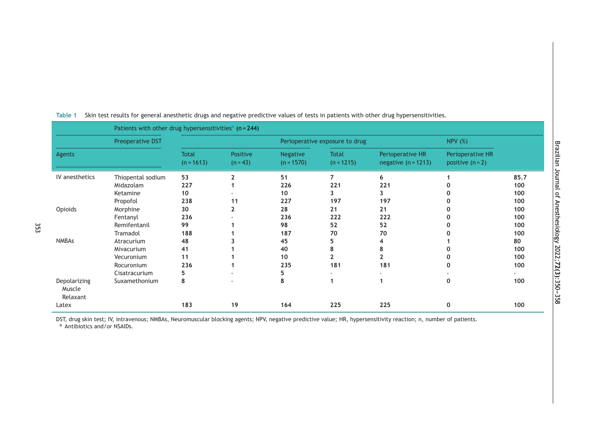| Patients with other drug hypersensitivities <sup>a</sup> ( $n = 244$ ) |                                                                       |                              |                        |                                 |                              |                                           |                                      |                           |  |
|------------------------------------------------------------------------|-----------------------------------------------------------------------|------------------------------|------------------------|---------------------------------|------------------------------|-------------------------------------------|--------------------------------------|---------------------------|--|
|                                                                        | Preoperative DST                                                      |                              |                        | <b>NPV</b> (%)                  |                              |                                           |                                      |                           |  |
| Agents                                                                 |                                                                       | <b>Total</b><br>$(n = 1613)$ | Positive<br>$(n = 43)$ | <b>Negative</b><br>$(n = 1570)$ | <b>Total</b><br>$(n = 1215)$ | Perioperative HR<br>negative $(n = 1213)$ | Perioperative HR<br>positive $(n=2)$ |                           |  |
| IV anesthetics                                                         | Thiopental sodium<br>Midazolam<br>Ketamine<br>Propofol                | 53<br>227<br>10<br>238       | 11                     | 51<br>226<br>10<br>227          | 7<br>221<br>3<br>197         | 6<br>221<br>3<br>197                      |                                      | 85.7<br>100<br>100<br>100 |  |
| Opioids                                                                | Morphine<br>Fentanyl<br>Remifentanil<br>Tramadol                      | 30<br>236<br>99<br>188       | 2                      | 28<br>236<br>98<br>187          | 21<br>222<br>52<br>70        | 21<br>222<br>52<br>70                     |                                      | 100<br>100<br>100<br>100  |  |
| <b>NMBAs</b>                                                           | Atracurium<br>Mivacurium<br>Vecuronium<br>Rocuronium<br>Cisatracurium | 48<br>41<br>11<br>236<br>5   |                        | 45<br>40<br>10<br>235<br>5      | 5<br>8<br>181                | 4<br>8<br>$\overline{\phantom{a}}$<br>181 |                                      | 80<br>100<br>100<br>100   |  |
| Depolarizing<br>Muscle<br>Relaxant<br>Latex                            | Suxamethonium                                                         | 8<br>183                     | 19                     | 8<br>164                        | 1<br>225                     | 225                                       | 0<br>0                               | 100<br>100                |  |

#### <span id="page-3-0"></span>**Table 1** Skin test results for general anesthetic drugs and negative predictive values of tests in patients with other drug hypersensitivities.

DST, drug skin test; IV, intravenous; NMBAs, Neuromuscular blocking agents; NPV, negative predictive value; HR, hypersensitivity reaction; n, number of patients.

<sup>a</sup> Antibiotics and/or NSAIDs.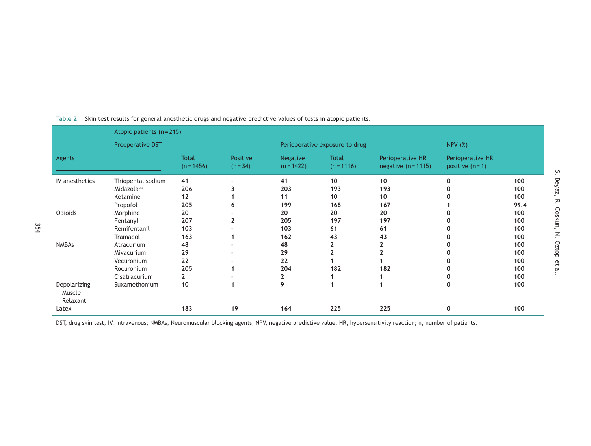|                                    | Atopic patients $(n = 215)$ |                              |                        |                                 |                              |                                           |                                        |      |
|------------------------------------|-----------------------------|------------------------------|------------------------|---------------------------------|------------------------------|-------------------------------------------|----------------------------------------|------|
|                                    | Preoperative DST            |                              |                        | Perioperative exposure to drug  |                              |                                           | <b>NPV (%)</b>                         |      |
| Agents                             |                             | <b>Total</b><br>$(n = 1456)$ | Positive<br>$(n = 34)$ | <b>Negative</b><br>$(n = 1422)$ | <b>Total</b><br>$(n = 1116)$ | Perioperative HR<br>negative $(n = 1115)$ | Perioperative HR<br>positive $(n = 1)$ |      |
| IV anesthetics                     | Thiopental sodium           | 41                           |                        | 41                              | 10                           | 10                                        |                                        | 100  |
|                                    | Midazolam                   | 206                          |                        | 203                             | 193                          | 193                                       |                                        | 100  |
|                                    | Ketamine                    | 12                           |                        | 11                              | 10 <sup>°</sup>              | 10                                        |                                        | 100  |
|                                    | Propofol                    | 205                          | n                      | 199                             | 168                          | 167                                       |                                        | 99.4 |
| Opioids                            | Morphine                    | 20                           |                        | 20                              | 20                           | 20                                        |                                        | 100  |
|                                    | Fentanyl                    | 207                          | 2                      | 205                             | 197                          | 197                                       |                                        | 100  |
|                                    | Remifentanil                | 103                          |                        | 103                             | 61                           | 61                                        |                                        | 100  |
|                                    | Tramadol                    | 163                          |                        | 162                             | 43                           | 43                                        |                                        | 100  |
| <b>NMBAs</b>                       | Atracurium                  | 48                           |                        | 48                              |                              | 2                                         |                                        | 100  |
|                                    | Mivacurium                  | 29                           |                        | 29                              |                              |                                           |                                        | 100  |
|                                    | Vecuronium                  | 22                           |                        | 22                              |                              |                                           |                                        | 100  |
|                                    | Rocuronium                  | 205                          |                        | 204                             | 182                          | 182                                       |                                        | 100  |
|                                    | Cisatracurium               | $\mathbf{z}$                 |                        | 2                               |                              |                                           |                                        | 100  |
| Depolarizing<br>Muscle<br>Relaxant | Suxamethonium               | 10                           |                        | 9                               |                              |                                           |                                        | 100  |
| Latex                              |                             | 183                          | 19                     | 164                             | 225                          | 225                                       | $\mathbf{0}$                           | 100  |

#### <span id="page-4-0"></span>**Table 2** Skin test results for general anesthetic drugs and negative predictive values of tests in atopic patients.

DST, drug skin test; IV, intravenous; NMBAs, Neuromuscular blocking agents; NPV, negative predictive value; HR, hypersensitivity reaction; n, number of patients.

## S. Beyaz, R. Coskun, N. Oztop et al.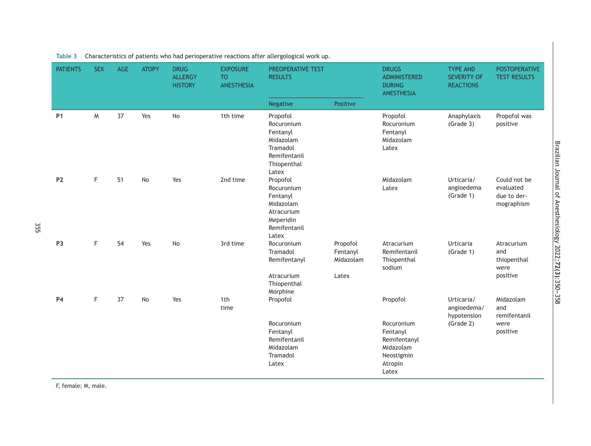| <b>PATIENTS</b> | <b>SEX</b> | <b>AGE</b> | <b>ATOPY</b> | <b>DRUG</b><br><b>ALLERGY</b><br><b>HISTORY</b> | <b>EXPOSURE</b><br><b>TO</b><br><b>ANESTHESIA</b> | <b>PREOPERATIVE TEST</b><br><b>RESULTS</b>                                                          |                                            | <b>DRUGS</b><br>ADMINISTERED<br><b>DURING</b><br>ANESTHESIA                           | <b>TYPE AND</b><br><b>SEVERITY OF</b><br><b>REACTIONS</b> | <b>POSTOPERATIVE</b><br><b>TEST RESULTS</b>            |
|-----------------|------------|------------|--------------|-------------------------------------------------|---------------------------------------------------|-----------------------------------------------------------------------------------------------------|--------------------------------------------|---------------------------------------------------------------------------------------|-----------------------------------------------------------|--------------------------------------------------------|
|                 |            |            |              |                                                 |                                                   | Negative                                                                                            | Positive                                   |                                                                                       |                                                           |                                                        |
| <b>P1</b>       | M          | 37         | Yes          | No                                              | 1th time                                          | Propofol<br>Rocuronium<br>Fentanyl<br>Midazolam<br>Tramadol<br>Remifentanil<br>Thiopenthal<br>Latex |                                            | Propofol<br>Rocuronium<br>Fentanyl<br>Midazolam<br>Latex                              | Anaphylaxis<br>(Grade 3)                                  | Propofol was<br>positive                               |
| P <sub>2</sub>  | F          | 51         | No           | Yes                                             | 2nd time                                          | Propofol<br>Rocuronium<br>Fentanyl<br>Midazolam<br>Atracurium<br>Meperidin<br>Remifentanil<br>Latex |                                            | Midazolam<br>Latex                                                                    | Urticaria/<br>angioedema<br>(Grade 1)                     | Could not be<br>evaluated<br>due to der-<br>mographism |
| P <sub>3</sub>  | F          | 54         | Yes          | <b>No</b>                                       | 3rd time                                          | Rocuronium<br>Tramadol<br>Remifentanyl<br>Atracurium<br>Thiopenthal<br>Morphine                     | Propofol<br>Fentanyl<br>Midazolam<br>Latex | Atracurium<br>Remifentanil<br>Thiopenthal<br>sodium                                   | <b>Urticaria</b><br>(Grade 1)                             | Atracurium<br>and<br>thiopenthal<br>were<br>positive   |
| <b>P4</b>       | F          | 37         | No           | Yes                                             | 1th<br>time                                       | Propofol                                                                                            |                                            | Propofol                                                                              | Urticaria/<br>angioedema/<br>hypotension                  | Midazolam<br>and<br>remifentanil                       |
|                 |            |            |              |                                                 |                                                   | Rocuronium<br>Fentanyl<br>Remifentanil<br>Midazolam<br>Tramadol<br>Latex                            |                                            | Rocuronium<br>Fentanyl<br>Remifentanyl<br>Midazolam<br>Neostigmin<br>Atropin<br>Latex | (Grade 2)                                                 | were<br>positive                                       |

<span id="page-5-0"></span>**Table 3** Characteristics of patients who had perioperative reactions after allergological work up.

F, female; M, male.

355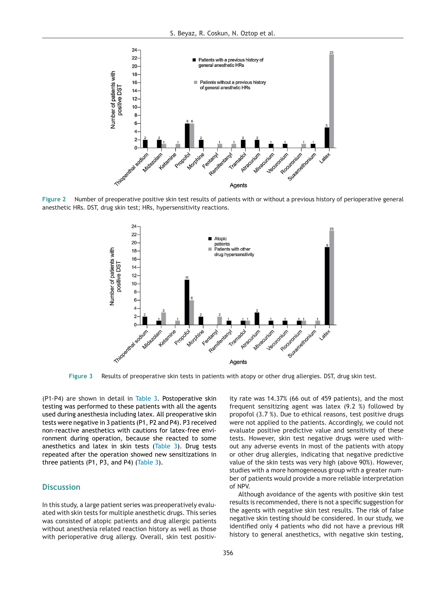<span id="page-6-0"></span>

**Figure 2** Number of preoperative positive skin test results of patients with or without a previous history of perioperative general anesthetic HRs. DST, drug skin test; HRs, hypersensitivity reactions.



**Figure 3** Results of preoperative skin tests in patients with atopy or other drug allergies. DST, drug skin test.

(P1-P4) are shown in detail in [Table](#page-5-0) 3. Postoperative skin testing was performed to these patients with all the agents used during anesthesia including latex. All preoperative skin tests were negative in 3 patients (P1, P2 and P4). P3 received non-reactive anesthetics with cautions for latex-free environment during operation, because she reacted to some anesthetics and latex in skin tests [\(Table](#page-5-0) 3). Drug tests repeated after the operation showed new sensitizations in three patients (P1, P3, and P4) [\(Table](#page-5-0) 3).

### **Discussion**

In this study, a large patient series was preoperatively evaluated with skin tests for multiple anesthetic drugs. This series was consisted of atopic patients and drug allergic patients without anesthesia related reaction history as well as those with perioperative drug allergy. Overall, skin test positiv-

ity rate was 14.37% (66 out of 459 patients), and the most frequent sensitizing agent was latex (9.2 %) followed by propofol (3.7 %). Due to ethical reasons, test positive drugs were not applied to the patients. Accordingly, we could not evaluate positive predictive value and sensitivity of these tests. However, skin test negative drugs were used without any adverse events in most of the patients with atopy or other drug allergies, indicating that negative predictive value of the skin tests was very high (above 90%). However, studies with a more homogeneous group with a greater number of patients would provide a more reliable interpretation of NPV.

Although avoidance of the agents with positive skin test results is recommended, there is not a specific suggestion for the agents with negative skin test results. The risk of false negative skin testing should be considered. In our study, we identified only 4 patients who did not have a previous HR history to general anesthetics, with negative skin testing,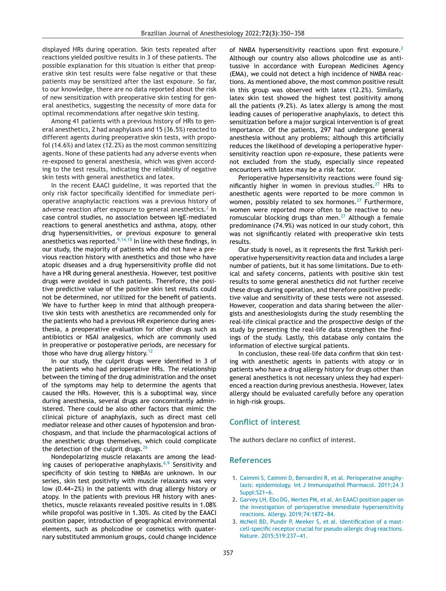<span id="page-7-0"></span>displayed HRs during operation. Skin tests repeated after reactions yielded positive results in 3 of these patients. The possible explanation for this situation is either that preoperative skin test results were false negative or that these patients may be sensitized after the last exposure. So far, to our knowledge, there are no data reported about the risk of new sensitization with preoperative skin testing for general anesthetics, suggesting the necessity of more data for optimal recommendations after negative skin testing.

Among 41 patients with a previous history of HRs to general anesthetics, 2 had anaphylaxis and 15 (36.5%) reacted to different agents during preoperative skin tests, with propofol (14.6%) and latex (12.2%) as the most common sensitizing agents. None of these patients had any adverse events when re-exposed to general anesthesia, which was given according to the test results, indicating the reliability of negative skin tests with general anesthetics and latex.

In the recent EAACI guideline, it was reported that the only risk factor specifically identified for immediate perioperative anaphylactic reactions was a previous history of adverse reaction after exposure to general anesthetics.<sup>2</sup> In case control studies, no association between IgE-mediated reactions to general anesthetics and asthma, atopy, other drug hypersensitivities, or previous exposure to general anesthetics was reported.<sup>[9,14,15](#page-8-0)</sup> In line with these findings, in our study, the majority of patients who did not have a previous reaction history with anesthetics and those who have atopic diseases and a drug hypersensitivity profile did not have a HR during general anesthesia. However, test positive drugs were avoided in such patients. Therefore, the positive predictive value of the positive skin test results could not be determined, nor utilized for the benefit of patients. We have to further keep in mind that although preoperative skin tests with anesthetics are recommended only for the patients who had a previous HR experience during anesthesia, a preoperative evaluation for other drugs such as antibiotics or NSAI analgesics, which are commonly used in preoperative or postoperative periods, are necessary for those who have drug allergy history.<sup>[12](#page-8-0)</sup>

In our study, the culprit drugs were identified in 3 of the patients who had perioperative HRs. The relationship between the timing of the drug administration and the onset of the symptoms may help to determine the agents that caused the HRs. However, this is a suboptimal way, since during anesthesia, several drugs are concomitantly administered. There could be also other factors that mimic the clinical picture of anaphylaxis, such as direct mast cell mediator release and other causes of hypotension and bronchospasm, and that include the pharmacological actions of the anesthetic drugs themselves, which could complicate the detection of the culprit drugs.<sup>[26](#page-8-0)</sup>

Nondepolarizing muscle relaxants are among the lead-ing causes of perioperative anaphylaxis.<sup>[6,9](#page-8-0)</sup> Sensitivity and specificity of skin testing to NMBAs are unknown. In our series, skin test positivity with muscle relaxants was very low  $(0.44-2%)$  in the patients with drug allergy history or atopy. In the patients with previous HR history with anesthetics, muscle relaxants revealed positive results in 1.08% while propofol was positive in 1.30%. As cited by the EAACI position paper, introduction of geographical environmental elements, such as pholcodine or cosmetics with quaternary substituted ammonium groups, could change incidence

of NMBA hypersensitivity reactions upon first exposure.<sup>2</sup> Although our country also allows pholcodine use as antitussive in accordance with European Medicines Agency (EMA), we could not detect a high incidence of NMBA reactions. As mentioned above, the most common positive result in this group was observed with latex (12.2%). Similarly, latex skin test showed the highest test positivity among all the patients (9.2%). As latex allergy is among the most leading causes of perioperative anaphylaxis, to detect this sensitization before a major surgical intervention is of great importance. Of the patients, 297 had undergone general anesthesia without any problems; although this artificially reduces the likelihood of developing a perioperative hypersensitivity reaction upon re-exposure, these patients were not excluded from the study, especially since repeated encounters with latex may be a risk factor.

Perioperative hypersensitivity reactions were found significantly higher in women in previous studies. $27$  HRs to anesthetic agents were reported to be more common in women, possibly related to sex hormones.<sup>[27](#page-8-0)</sup> Furthermore, women were reported more often to be reactive to neuromuscular blocking drugs than men. $^{27}$  $^{27}$  $^{27}$  Although a female predominance (74.9%) was noticed in our study cohort, this was not significantly related with preoperative skin tests results.

Our study is novel, as it represents the first Turkish perioperative hypersensitivity reaction data and includes a large number of patients, but it has some limitations. Due to ethical and safety concerns, patients with positive skin test results to some general anesthetics did not further receive these drugs during operation, and therefore positive predictive value and sensitivity of these tests were not assessed. However, cooperation and data sharing between the allergists and anesthesiologists during the study resembling the real-life clinical practice and the prospective design of the study by presenting the real-life data strengthen the findings of the study. Lastly, this database only contains the information of elective surgical patients.

In conclusion, these real-life data confirm that skin testing with anesthetic agents in patients with atopy or in patients who have a drug allergy history for drugs other than general anesthetics is not necessary unless they had experienced a reaction during previous anesthesia. However, latex allergy should be evaluated carefully before any operation in high-risk groups.

### **Conflict of interest**

The authors declare no conflict of interest.

#### **References**

- 1. [Caimmi](http://refhub.elsevier.com/S0104-0014(21)00285-2/sbref0005) [S,](http://refhub.elsevier.com/S0104-0014(21)00285-2/sbref0005) [Caimmi](http://refhub.elsevier.com/S0104-0014(21)00285-2/sbref0005) [D,](http://refhub.elsevier.com/S0104-0014(21)00285-2/sbref0005) [Bernardini](http://refhub.elsevier.com/S0104-0014(21)00285-2/sbref0005) [R,](http://refhub.elsevier.com/S0104-0014(21)00285-2/sbref0005) [et](http://refhub.elsevier.com/S0104-0014(21)00285-2/sbref0005) [al.](http://refhub.elsevier.com/S0104-0014(21)00285-2/sbref0005) [Perioperative](http://refhub.elsevier.com/S0104-0014(21)00285-2/sbref0005) [anaphy](http://refhub.elsevier.com/S0104-0014(21)00285-2/sbref0005)[laxis:](http://refhub.elsevier.com/S0104-0014(21)00285-2/sbref0005) [epidemiology.](http://refhub.elsevier.com/S0104-0014(21)00285-2/sbref0005) [Int](http://refhub.elsevier.com/S0104-0014(21)00285-2/sbref0005) [J](http://refhub.elsevier.com/S0104-0014(21)00285-2/sbref0005) [Immunopathol](http://refhub.elsevier.com/S0104-0014(21)00285-2/sbref0005) [Pharmacol.](http://refhub.elsevier.com/S0104-0014(21)00285-2/sbref0005) [2011;24](http://refhub.elsevier.com/S0104-0014(21)00285-2/sbref0005) [3](http://refhub.elsevier.com/S0104-0014(21)00285-2/sbref0005)  $Sunpl:S21-6.$  $Sunpl:S21-6.$
- 2. [Garvey](http://refhub.elsevier.com/S0104-0014(21)00285-2/sbref0010) [LH,](http://refhub.elsevier.com/S0104-0014(21)00285-2/sbref0010) [Ebo](http://refhub.elsevier.com/S0104-0014(21)00285-2/sbref0010) [DG,](http://refhub.elsevier.com/S0104-0014(21)00285-2/sbref0010) [Mertes](http://refhub.elsevier.com/S0104-0014(21)00285-2/sbref0010) [PM,](http://refhub.elsevier.com/S0104-0014(21)00285-2/sbref0010) [et](http://refhub.elsevier.com/S0104-0014(21)00285-2/sbref0010) [al.](http://refhub.elsevier.com/S0104-0014(21)00285-2/sbref0010) [An](http://refhub.elsevier.com/S0104-0014(21)00285-2/sbref0010) [EAACI](http://refhub.elsevier.com/S0104-0014(21)00285-2/sbref0010) [position](http://refhub.elsevier.com/S0104-0014(21)00285-2/sbref0010) [paper](http://refhub.elsevier.com/S0104-0014(21)00285-2/sbref0010) [on](http://refhub.elsevier.com/S0104-0014(21)00285-2/sbref0010) [the](http://refhub.elsevier.com/S0104-0014(21)00285-2/sbref0010) [investigation](http://refhub.elsevier.com/S0104-0014(21)00285-2/sbref0010) [of](http://refhub.elsevier.com/S0104-0014(21)00285-2/sbref0010) [perioperative](http://refhub.elsevier.com/S0104-0014(21)00285-2/sbref0010) [immediate](http://refhub.elsevier.com/S0104-0014(21)00285-2/sbref0010) [hypersensitivity](http://refhub.elsevier.com/S0104-0014(21)00285-2/sbref0010) [reactions.](http://refhub.elsevier.com/S0104-0014(21)00285-2/sbref0010) [Allergy.](http://refhub.elsevier.com/S0104-0014(21)00285-2/sbref0010) [2019;74:1872-](http://refhub.elsevier.com/S0104-0014(21)00285-2/sbref0010)[84.](http://refhub.elsevier.com/S0104-0014(21)00285-2/sbref0010)
- 3. [McNeil](http://refhub.elsevier.com/S0104-0014(21)00285-2/sbref0015) [BD,](http://refhub.elsevier.com/S0104-0014(21)00285-2/sbref0015) [Pundir](http://refhub.elsevier.com/S0104-0014(21)00285-2/sbref0015) [P,](http://refhub.elsevier.com/S0104-0014(21)00285-2/sbref0015) [Meeker](http://refhub.elsevier.com/S0104-0014(21)00285-2/sbref0015) [S,](http://refhub.elsevier.com/S0104-0014(21)00285-2/sbref0015) [et](http://refhub.elsevier.com/S0104-0014(21)00285-2/sbref0015) [al.](http://refhub.elsevier.com/S0104-0014(21)00285-2/sbref0015) [Identification](http://refhub.elsevier.com/S0104-0014(21)00285-2/sbref0015) [of](http://refhub.elsevier.com/S0104-0014(21)00285-2/sbref0015) [a](http://refhub.elsevier.com/S0104-0014(21)00285-2/sbref0015) [mast](http://refhub.elsevier.com/S0104-0014(21)00285-2/sbref0015)[cell-specific](http://refhub.elsevier.com/S0104-0014(21)00285-2/sbref0015) [receptor](http://refhub.elsevier.com/S0104-0014(21)00285-2/sbref0015) [crucial](http://refhub.elsevier.com/S0104-0014(21)00285-2/sbref0015) [for](http://refhub.elsevier.com/S0104-0014(21)00285-2/sbref0015) [pseudo-allergic](http://refhub.elsevier.com/S0104-0014(21)00285-2/sbref0015) [drug](http://refhub.elsevier.com/S0104-0014(21)00285-2/sbref0015) [reactions.](http://refhub.elsevier.com/S0104-0014(21)00285-2/sbref0015) [Nature.](http://refhub.elsevier.com/S0104-0014(21)00285-2/sbref0015) 2015;519:237-41.